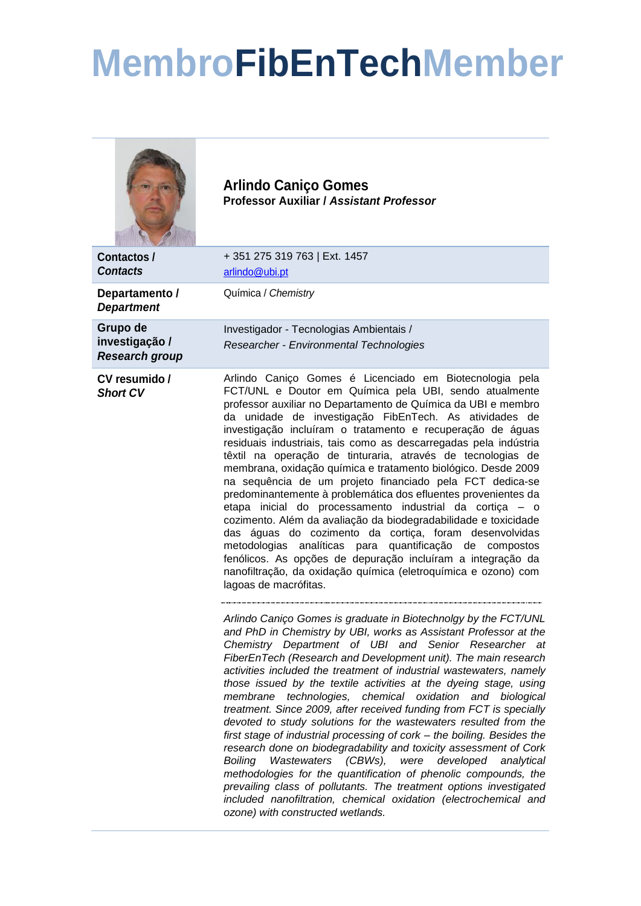## **MembroFibEnTechMember**

|                                                     | <b>Arlindo Caniço Gomes</b><br><b>Professor Auxiliar / Assistant Professor</b>                                                                                                                                                                                                                                                                                                                                                                                                                                                                                                                                                                                                                                                                                                                                                                                                                                                                                                                                                                                                       |
|-----------------------------------------------------|--------------------------------------------------------------------------------------------------------------------------------------------------------------------------------------------------------------------------------------------------------------------------------------------------------------------------------------------------------------------------------------------------------------------------------------------------------------------------------------------------------------------------------------------------------------------------------------------------------------------------------------------------------------------------------------------------------------------------------------------------------------------------------------------------------------------------------------------------------------------------------------------------------------------------------------------------------------------------------------------------------------------------------------------------------------------------------------|
| Contactos /<br><b>Contacts</b>                      | +351 275 319 763   Ext. 1457<br>arlindo@ubi.pt                                                                                                                                                                                                                                                                                                                                                                                                                                                                                                                                                                                                                                                                                                                                                                                                                                                                                                                                                                                                                                       |
| Departamento /<br><b>Department</b>                 | Química / Chemistry                                                                                                                                                                                                                                                                                                                                                                                                                                                                                                                                                                                                                                                                                                                                                                                                                                                                                                                                                                                                                                                                  |
| Grupo de<br>investigação /<br><b>Research group</b> | Investigador - Tecnologias Ambientais /<br>Researcher - Environmental Technologies                                                                                                                                                                                                                                                                                                                                                                                                                                                                                                                                                                                                                                                                                                                                                                                                                                                                                                                                                                                                   |
| CV resumido /<br><b>Short CV</b>                    | Arlindo Caniço Gomes é Licenciado em Biotecnologia pela<br>FCT/UNL e Doutor em Química pela UBI, sendo atualmente<br>professor auxiliar no Departamento de Química da UBI e membro<br>da unidade de investigação FibEnTech. As atividades de<br>investigação incluíram o tratamento e recuperação de águas<br>residuais industriais, tais como as descarregadas pela indústria<br>têxtil na operação de tinturaria, através de tecnologias de<br>membrana, oxidação química e tratamento biológico. Desde 2009<br>na sequência de um projeto financiado pela FCT dedica-se<br>predominantemente à problemática dos efluentes provenientes da<br>etapa inicial do processamento industrial da cortiça - o<br>cozimento. Além da avaliação da biodegradabilidade e toxicidade<br>das águas do cozimento da cortiça, foram desenvolvidas<br>metodologias analíticas para quantificação de compostos<br>fenólicos. As opções de depuração incluíram a integração da<br>nanofiltração, da oxidação química (eletroquímica e ozono) com<br>lagoas de macrófitas.                           |
|                                                     | Arlindo Caniço Gomes is graduate in Biotechnolgy by the FCT/UNL<br>and PhD in Chemistry by UBI, works as Assistant Professor at the<br>Chemistry Department of UBI and Senior Researcher at<br>FiberEnTech (Research and Development unit). The main research<br>activities included the treatment of industrial wastewaters, namely<br>those issued by the textile activities at the dyeing stage, using<br>membrane technologies, chemical oxidation and biological<br>treatment. Since 2009, after received funding from FCT is specially<br>devoted to study solutions for the wastewaters resulted from the<br>first stage of industrial processing of cork - the boiling. Besides the<br>research done on biodegradability and toxicity assessment of Cork<br>Boiling Wastewaters (CBWs),<br>were<br>developed<br>analytical<br>methodologies for the quantification of phenolic compounds, the<br>prevailing class of pollutants. The treatment options investigated<br>included nanofiltration, chemical oxidation (electrochemical and<br>ozone) with constructed wetlands. |